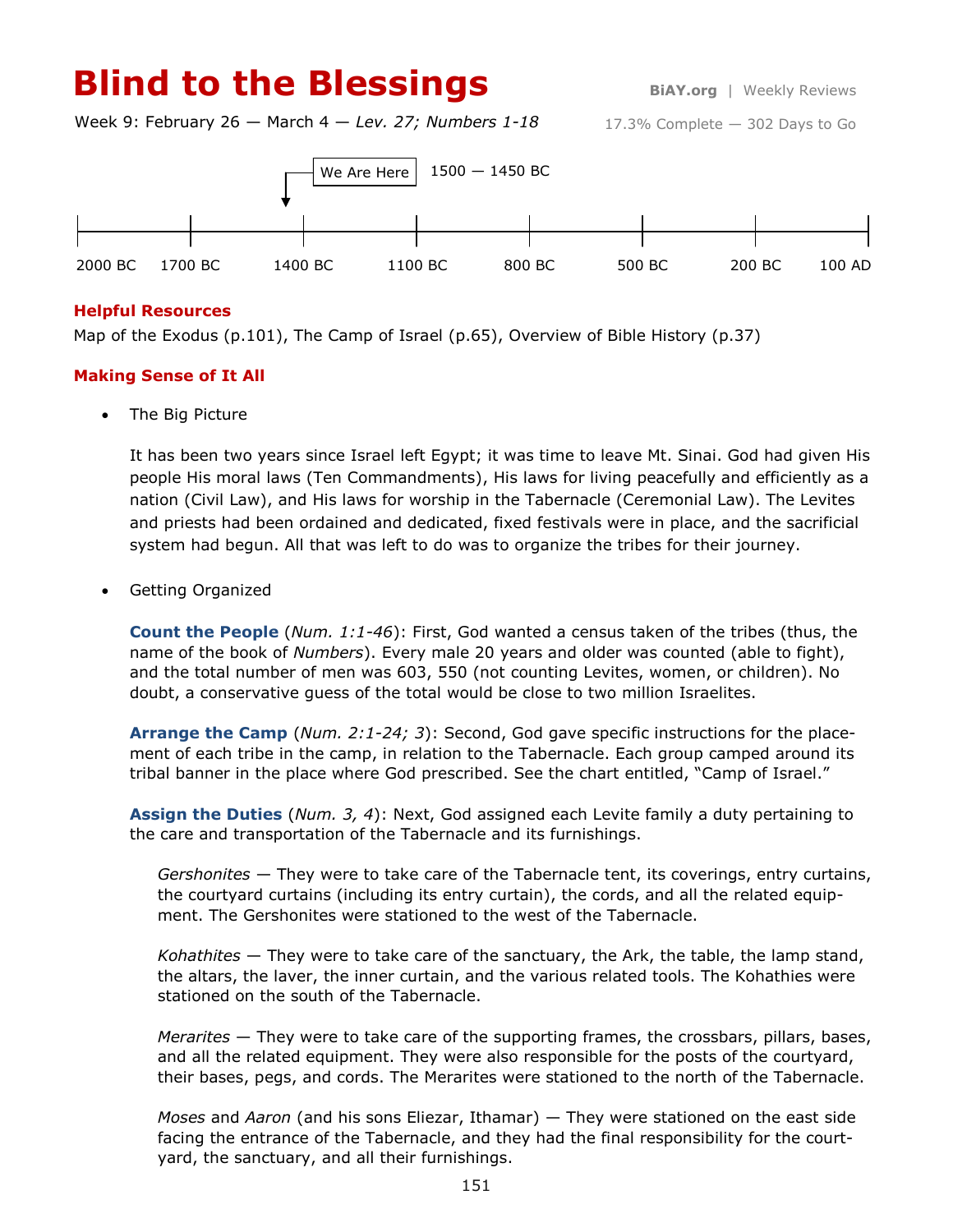# **Blind to the Blessings Blind to the Blessings**

Week 9: February 26 — March 4 — *Lev. 27; Numbers 1-18*





## **Helpful Resources**

Map of the Exodus (p.101), The Camp of Israel (p.65), Overview of Bible History (p.37)

## **Making Sense of It All**

• The Big Picture

It has been two years since Israel left Egypt; it was time to leave Mt. Sinai. God had given His people His moral laws (Ten Commandments), His laws for living peacefully and efficiently as a nation (Civil Law), and His laws for worship in the Tabernacle (Ceremonial Law). The Levites and priests had been ordained and dedicated, fixed festivals were in place, and the sacrificial system had begun. All that was left to do was to organize the tribes for their journey.

Getting Organized

**Count the People** (*Num. 1:1-46*): First, God wanted a census taken of the tribes (thus, the name of the book of *Numbers*). Every male 20 years and older was counted (able to fight), and the total number of men was 603, 550 (not counting Levites, women, or children). No doubt, a conservative guess of the total would be close to two million Israelites.

**Arrange the Camp** (*Num. 2:1-24; 3*): Second, God gave specific instructions for the placement of each tribe in the camp, in relation to the Tabernacle. Each group camped around its tribal banner in the place where God prescribed. See the chart entitled, "Camp of Israel."

**Assign the Duties** (*Num. 3, 4*): Next, God assigned each Levite family a duty pertaining to the care and transportation of the Tabernacle and its furnishings.

*Gershonites* — They were to take care of the Tabernacle tent, its coverings, entry curtains, the courtyard curtains (including its entry curtain), the cords, and all the related equipment. The Gershonites were stationed to the west of the Tabernacle.

*Kohathites* — They were to take care of the sanctuary, the Ark, the table, the lamp stand, the altars, the laver, the inner curtain, and the various related tools. The Kohathies were stationed on the south of the Tabernacle.

*Merarites* — They were to take care of the supporting frames, the crossbars, pillars, bases, and all the related equipment. They were also responsible for the posts of the courtyard, their bases, pegs, and cords. The Merarites were stationed to the north of the Tabernacle.

*Moses* and *Aaron* (and his sons Eliezar, Ithamar) — They were stationed on the east side facing the entrance of the Tabernacle, and they had the final responsibility for the courtyard, the sanctuary, and all their furnishings.